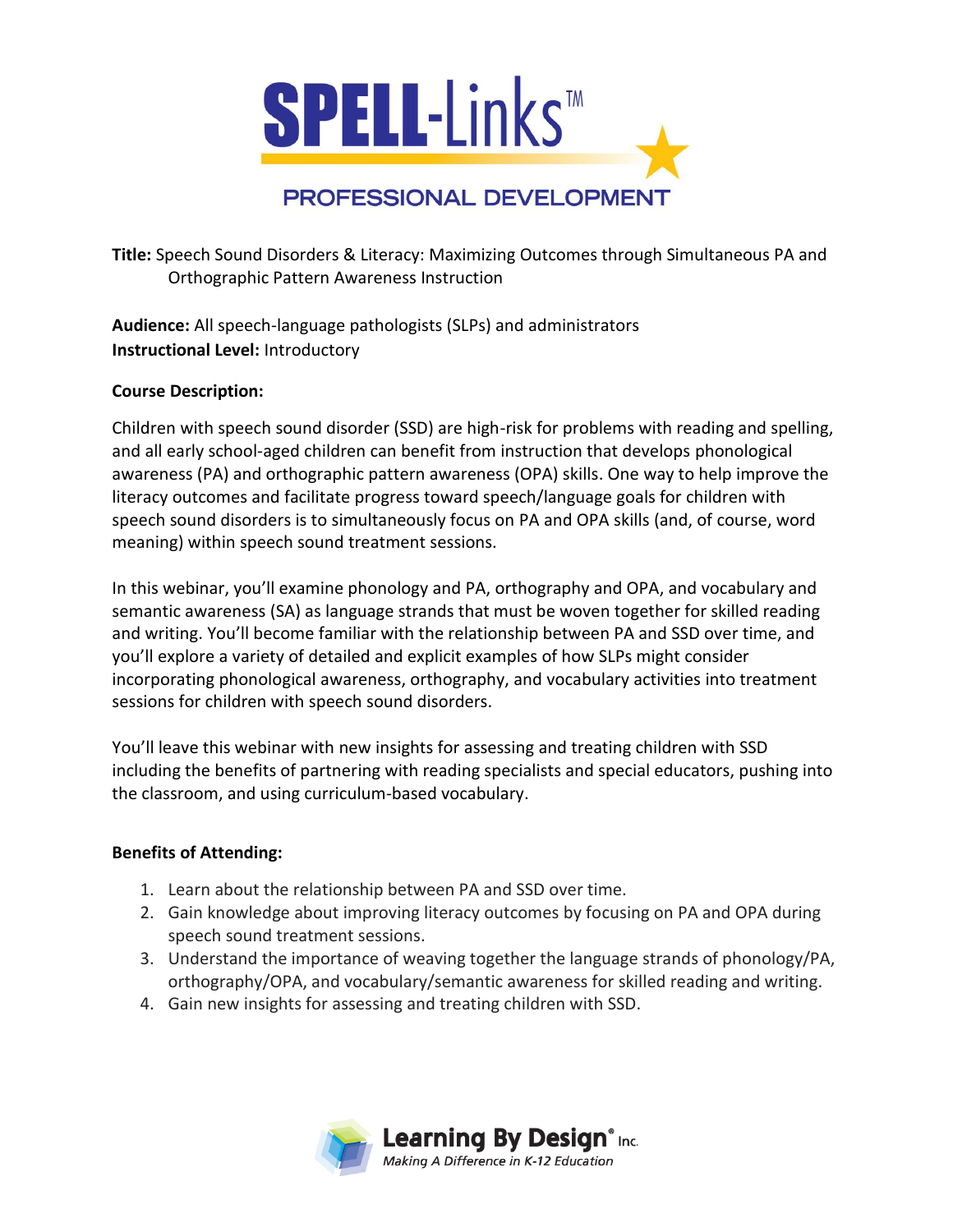

**Title:** Speech Sound Disorders & Literacy: Maximizing Outcomes through Simultaneous PA and Orthographic Pattern Awareness Instruction

**Audience:** All speech-language pathologists (SLPs) and administrators **Instructional Level:** Introductory

## **Course Description:**

Children with speech sound disorder (SSD) are high-risk for problems with reading and spelling, and all early school-aged children can benefit from instruction that develops phonological awareness (PA) and orthographic pattern awareness (OPA) skills. One way to help improve the literacy outcomes and facilitate progress toward speech/language goals for children with speech sound disorders is to simultaneously focus on PA and OPA skills (and, of course, word meaning) within speech sound treatment sessions.

In this webinar, you'll examine phonology and PA, orthography and OPA, and vocabulary and semantic awareness (SA) as language strands that must be woven together for skilled reading and writing. You'll become familiar with the relationship between PA and SSD over time, and you'll explore a variety of detailed and explicit examples of how SLPs might consider incorporating phonological awareness, orthography, and vocabulary activities into treatment sessions for children with speech sound disorders.

You'll leave this webinar with new insights for assessing and treating children with SSD including the benefits of partnering with reading specialists and special educators, pushing into the classroom, and using curriculum-based vocabulary.

## **Benefits of Attending:**

- 1. Learn about the relationship between PA and SSD over time.
- 2. Gain knowledge about improving literacy outcomes by focusing on PA and OPA during speech sound treatment sessions.
- 3. Understand the importance of weaving together the language strands of phonology/PA, orthography/OPA, and vocabulary/semantic awareness for skilled reading and writing.
- 4. Gain new insights for assessing and treating children with SSD.